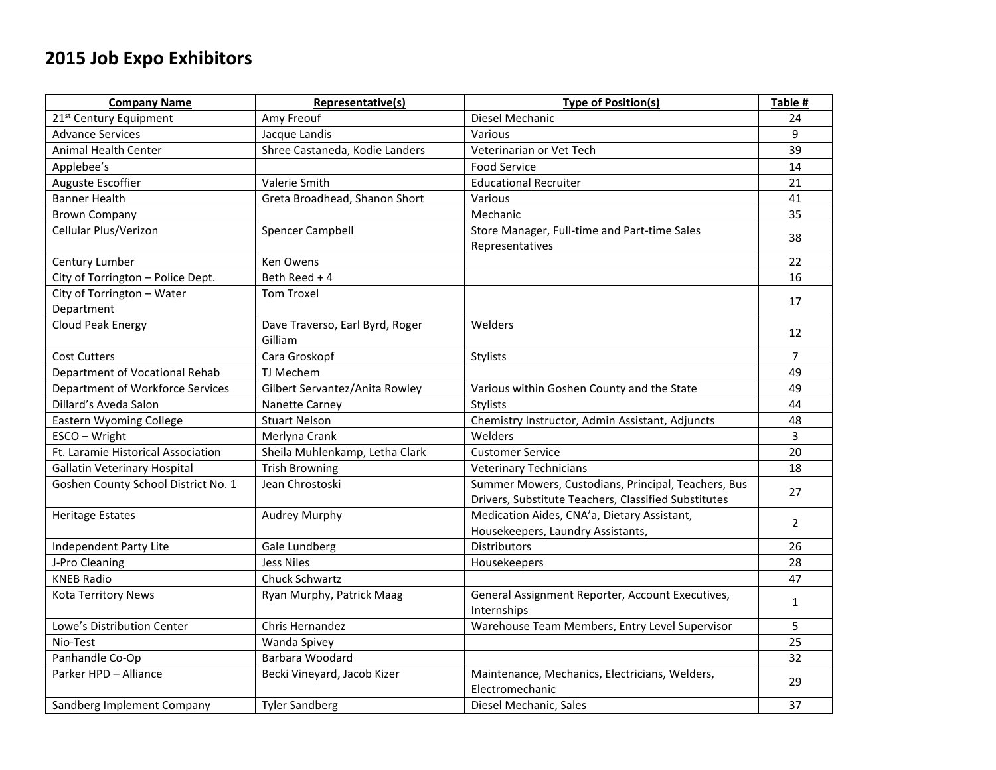## **2015 Job Expo Exhibitors**

| <b>Company Name</b>                 | Representative(s)                          | <b>Type of Position(s)</b>                                                                                  | Table #        |
|-------------------------------------|--------------------------------------------|-------------------------------------------------------------------------------------------------------------|----------------|
| 21 <sup>st</sup> Century Equipment  | Amy Freouf                                 | Diesel Mechanic                                                                                             | 24             |
| <b>Advance Services</b>             | Jacque Landis                              | Various                                                                                                     | 9              |
| <b>Animal Health Center</b>         | Shree Castaneda, Kodie Landers             | Veterinarian or Vet Tech                                                                                    | 39             |
| Applebee's                          |                                            | <b>Food Service</b>                                                                                         | 14             |
| Auguste Escoffier                   | Valerie Smith                              | <b>Educational Recruiter</b>                                                                                | 21             |
| <b>Banner Health</b>                | Greta Broadhead, Shanon Short              | Various                                                                                                     | 41             |
| <b>Brown Company</b>                |                                            | Mechanic                                                                                                    | 35             |
| Cellular Plus/Verizon               | <b>Spencer Campbell</b>                    | Store Manager, Full-time and Part-time Sales<br>Representatives                                             | 38             |
| Century Lumber                      | Ken Owens                                  |                                                                                                             | 22             |
| City of Torrington - Police Dept.   | Beth Reed + 4                              |                                                                                                             | 16             |
| City of Torrington - Water          | <b>Tom Troxel</b>                          |                                                                                                             | 17             |
| Department                          |                                            |                                                                                                             |                |
| Cloud Peak Energy                   | Dave Traverso, Earl Byrd, Roger<br>Gilliam | Welders                                                                                                     | 12             |
| <b>Cost Cutters</b>                 | Cara Groskopf                              | Stylists                                                                                                    | $\overline{7}$ |
| Department of Vocational Rehab      | TJ Mechem                                  |                                                                                                             | 49             |
| Department of Workforce Services    | Gilbert Servantez/Anita Rowley             | Various within Goshen County and the State                                                                  | 49             |
| Dillard's Aveda Salon               | Nanette Carney                             | Stylists                                                                                                    | 44             |
| <b>Eastern Wyoming College</b>      | <b>Stuart Nelson</b>                       | Chemistry Instructor, Admin Assistant, Adjuncts                                                             | 48             |
| ESCO - Wright                       | Merlyna Crank                              | Welders                                                                                                     | $\overline{3}$ |
| Ft. Laramie Historical Association  | Sheila Muhlenkamp, Letha Clark             | <b>Customer Service</b>                                                                                     | 20             |
| <b>Gallatin Veterinary Hospital</b> | <b>Trish Browning</b>                      | <b>Veterinary Technicians</b>                                                                               | 18             |
| Goshen County School District No. 1 | Jean Chrostoski                            | Summer Mowers, Custodians, Principal, Teachers, Bus<br>Drivers, Substitute Teachers, Classified Substitutes | 27             |
| <b>Heritage Estates</b>             | Audrey Murphy                              | Medication Aides, CNA'a, Dietary Assistant,<br>Housekeepers, Laundry Assistants,                            | $\overline{2}$ |
| Independent Party Lite              | Gale Lundberg                              | Distributors                                                                                                | 26             |
| J-Pro Cleaning                      | <b>Jess Niles</b>                          | Housekeepers                                                                                                | 28             |
| <b>KNEB Radio</b>                   | Chuck Schwartz                             |                                                                                                             | 47             |
| Kota Territory News                 | Ryan Murphy, Patrick Maag                  | General Assignment Reporter, Account Executives,<br>Internships                                             | $\mathbf{1}$   |
| Lowe's Distribution Center          | Chris Hernandez                            | Warehouse Team Members, Entry Level Supervisor                                                              | 5              |
| Nio-Test                            | Wanda Spivey                               |                                                                                                             | 25             |
| Panhandle Co-Op                     | Barbara Woodard                            |                                                                                                             | 32             |
| Parker HPD - Alliance               | Becki Vineyard, Jacob Kizer                | Maintenance, Mechanics, Electricians, Welders,<br>Electromechanic                                           | 29             |
| Sandberg Implement Company          | <b>Tyler Sandberg</b>                      | Diesel Mechanic, Sales                                                                                      | 37             |